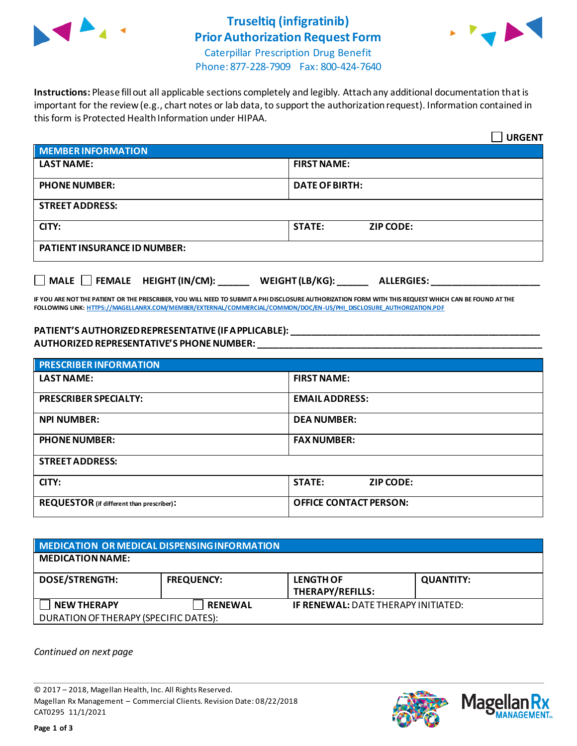

## **Truseltiq (infigratinib) Prior Authorization Request Form**



Caterpillar Prescription Drug Benefit Phone: 877-228-7909 Fax: 800-424-7640

**Instructions:** Please fill out all applicable sections completely and legibly. Attach any additional documentation that is important for the review (e.g., chart notes or lab data, to support the authorization request). Information contained in this form is Protected Health Information under HIPAA.

|                                                               | <b>URGENT</b>                     |  |  |
|---------------------------------------------------------------|-----------------------------------|--|--|
| MEMBER INFORMATION                                            |                                   |  |  |
| <b>LAST NAME:</b>                                             | <b>FIRST NAME:</b>                |  |  |
| <b>PHONE NUMBER:</b>                                          | <b>DATE OF BIRTH:</b>             |  |  |
| <b>STREET ADDRESS:</b>                                        |                                   |  |  |
| CITY:                                                         | <b>STATE:</b><br><b>ZIP CODE:</b> |  |  |
| <b>PATIENT INSURANCE ID NUMBER:</b>                           |                                   |  |  |
| MALE FEMALE HEIGHT (IN/CM): WEIGHT (LB/KG): ______ ALLERGIES: |                                   |  |  |

**IF YOU ARE NOT THE PATIENT OR THE PRESCRIBER, YOU WILL NEED TO SUBMIT A PHI DISCLOSURE AUTHORIZATION FORM WITH THIS REQUEST WHICH CAN BE FOUND AT THE FOLLOWING LINK[: HTTPS://MAGELLANRX.COM/MEMBER/EXTERNAL/COMMERCIAL/COMMON/DOC/EN-US/PHI\\_DISCLOSURE\\_AUTHORIZATION.PDF](https://magellanrx.com/member/external/commercial/common/doc/en-us/PHI_Disclosure_Authorization.pdf)**

## **PATIENT'S AUTHORIZED REPRESENTATIVE (IF APPLICABLE): \_\_\_\_\_\_\_\_\_\_\_\_\_\_\_\_\_\_\_\_\_\_\_\_\_\_\_\_\_\_\_\_\_\_\_\_\_\_\_\_\_\_\_\_\_\_\_\_ AUTHORIZED REPRESENTATIVE'S PHONE NUMBER: \_\_\_\_\_\_\_\_\_\_\_\_\_\_\_\_\_\_\_\_\_\_\_\_\_\_\_\_\_\_\_\_\_\_\_\_\_\_\_\_\_\_\_\_\_\_\_\_\_\_\_\_\_\_\_**

| <b>PRESCRIBER INFORMATION</b>             |                               |  |
|-------------------------------------------|-------------------------------|--|
| <b>LAST NAME:</b>                         | <b>FIRST NAME:</b>            |  |
| <b>PRESCRIBER SPECIALTY:</b>              | <b>EMAIL ADDRESS:</b>         |  |
| <b>NPI NUMBER:</b>                        | <b>DEA NUMBER:</b>            |  |
| <b>PHONE NUMBER:</b>                      | <b>FAX NUMBER:</b>            |  |
| <b>STREET ADDRESS:</b>                    |                               |  |
| CITY:                                     | <b>STATE:</b><br>ZIP CODE:    |  |
| REQUESTOR (if different than prescriber): | <b>OFFICE CONTACT PERSON:</b> |  |

| MEDICATION OR MEDICAL DISPENSING INFORMATION |                   |                                            |                  |  |  |
|----------------------------------------------|-------------------|--------------------------------------------|------------------|--|--|
| <b>MEDICATION NAME:</b>                      |                   |                                            |                  |  |  |
| <b>DOSE/STRENGTH:</b>                        | <b>FREQUENCY:</b> | <b>LENGTH OF</b><br>THERAPY/REFILLS:       | <b>QUANTITY:</b> |  |  |
| <b>NEW THERAPY</b>                           | <b>RENEWAL</b>    | <b>IF RENEWAL: DATE THERAPY INITIATED:</b> |                  |  |  |
| DURATION OF THERAPY (SPECIFIC DATES):        |                   |                                            |                  |  |  |

*Continued on next page*

© 2017 – 2018, Magellan Health, Inc. All Rights Reserved. Magellan Rx Management – Commercial Clients. Revision Date: 08/22/2018 CAT0295 11/1/2021



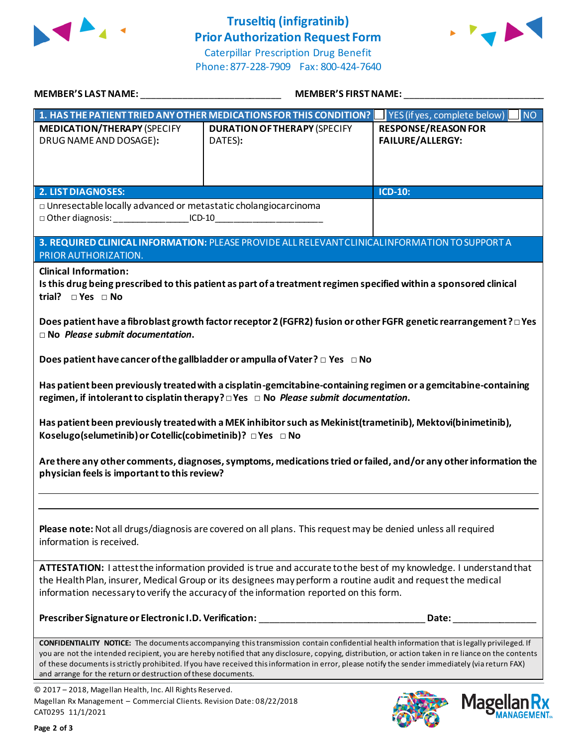

## **Truseltiq (infigratinib) Prior Authorization Request Form**





| MEMBER'S LAST NAME: _________________________________                                                                                                            | MEMBER'S FIRST NAME:                                                                                                                                                                                                                                                                                                                                                                                                                                    |                                                       |  |  |
|------------------------------------------------------------------------------------------------------------------------------------------------------------------|---------------------------------------------------------------------------------------------------------------------------------------------------------------------------------------------------------------------------------------------------------------------------------------------------------------------------------------------------------------------------------------------------------------------------------------------------------|-------------------------------------------------------|--|--|
|                                                                                                                                                                  | 1. HAS THE PATIENT TRIED ANY OTHER MEDICATIONS FOR THIS CONDITION?                                                                                                                                                                                                                                                                                                                                                                                      | YES (if yes, complete below)<br>INO                   |  |  |
| <b>MEDICATION/THERAPY (SPECIFY</b><br>DRUG NAME AND DOSAGE):                                                                                                     | <b>DURATION OF THERAPY (SPECIFY</b><br>DATES):                                                                                                                                                                                                                                                                                                                                                                                                          | <b>RESPONSE/REASON FOR</b><br><b>FAILURE/ALLERGY:</b> |  |  |
| <b>2. LIST DIAGNOSES:</b>                                                                                                                                        |                                                                                                                                                                                                                                                                                                                                                                                                                                                         | <b>ICD-10:</b>                                        |  |  |
| $\Box$ Unresectable locally advanced or metastatic cholangiocarcinoma<br>□ Other diagnosis: ___________________ICD-10___________________________________         |                                                                                                                                                                                                                                                                                                                                                                                                                                                         |                                                       |  |  |
| PRIOR AUTHORIZATION.                                                                                                                                             | 3. REQUIRED CLINICAL INFORMATION: PLEASE PROVIDE ALL RELEVANT CLINICAL INFORMATION TO SUPPORT A                                                                                                                                                                                                                                                                                                                                                         |                                                       |  |  |
| <b>Clinical Information:</b><br>trial? $\square$ Yes $\square$ No<br>$\Box$ No Please submit documentation.                                                      | Is this drug being prescribed to this patient as part of a treatment regimen specified within a sponsored clinical<br>Does patient have a fibroblast growth factor receptor 2 (FGFR2) fusion or other FGFR genetic rearrangement ? □ Yes                                                                                                                                                                                                                |                                                       |  |  |
|                                                                                                                                                                  | Does patient have cancer of the gallbladder or ampulla of Vater? $\square$ Yes $\square$ No                                                                                                                                                                                                                                                                                                                                                             |                                                       |  |  |
|                                                                                                                                                                  | Has patient been previously treated with a cisplatin-gemcitabine-containing regimen or a gemcitabine-containing                                                                                                                                                                                                                                                                                                                                         |                                                       |  |  |
| Koselugo(selumetinib) or Cotellic(cobimetinib)? □ Yes □ No                                                                                                       | Has patient been previously treated with a MEK inhibitor such as Mekinist (trametinib), Mektovi(binimetinib),                                                                                                                                                                                                                                                                                                                                           |                                                       |  |  |
| Are there any other comments, diagnoses, symptoms, medications tried or failed, and/or any other information the<br>physician feels is important to this review? |                                                                                                                                                                                                                                                                                                                                                                                                                                                         |                                                       |  |  |
| information is received.                                                                                                                                         | Please note: Not all drugs/diagnosis are covered on all plans. This request may be denied unless all required                                                                                                                                                                                                                                                                                                                                           |                                                       |  |  |
|                                                                                                                                                                  | ATTESTATION: I attest the information provided is true and accurate to the best of my knowledge. I understand that<br>the Health Plan, insurer, Medical Group or its designees may perform a routine audit and request the medical<br>information necessary to verify the accuracy of the information reported on this form.                                                                                                                            |                                                       |  |  |
|                                                                                                                                                                  | Prescriber Signature or Electronic I.D. Verification: _____________________                                                                                                                                                                                                                                                                                                                                                                             | Date:                                                 |  |  |
| and arrange for the return or destruction of these documents.                                                                                                    | CONFIDENTIALITY NOTICE: The documents accompanying this transmission contain confidential health information that is legally privileged. If<br>you are not the intended recipient, you are hereby notified that any disclosure, copying, distribution, or action taken in re liance on the contents<br>of these documents is strictly prohibited. If you have received this information in error, please notify the sender immediately (via return FAX) |                                                       |  |  |
| © 2017 - 2018, Magellan Health, Inc. All Rights Reserved.<br>Magellan Rx Management - Commercial Clients. Revision Date: 08/22/2018<br>CAT0295 11/1/2021         |                                                                                                                                                                                                                                                                                                                                                                                                                                                         | <b>Magel</b>                                          |  |  |